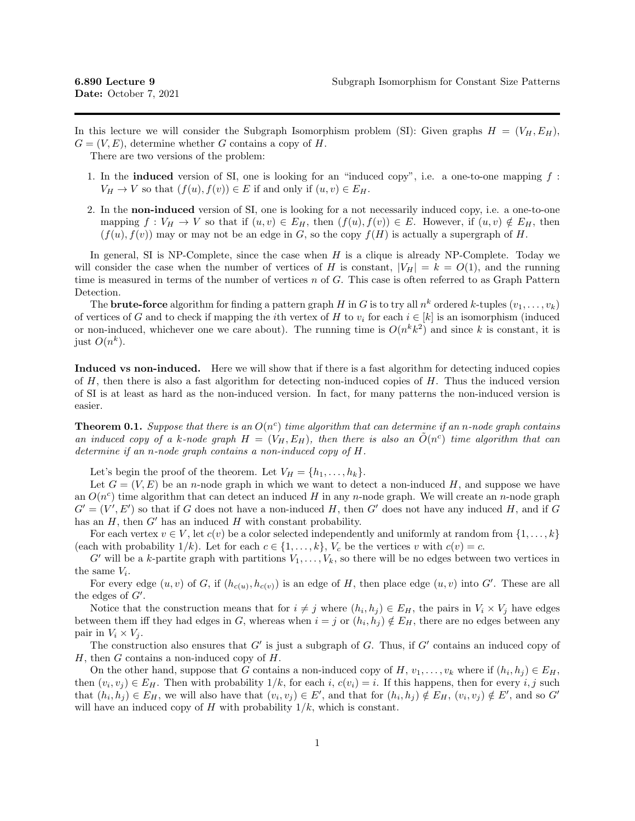In this lecture we will consider the Subgraph Isomorphism problem (SI): Given graphs  $H = (V_H, E_H)$ ,  $G = (V, E)$ , determine whether G contains a copy of H.

There are two versions of the problem:

- 1. In the **induced** version of SI, one is looking for an "induced copy", i.e. a one-to-one mapping  $f$ :  $V_H \to V$  so that  $(f(u), f(v)) \in E$  if and only if  $(u, v) \in E_H$ .
- 2. In the non-induced version of SI, one is looking for a not necessarily induced copy, i.e. a one-to-one mapping  $f: V_H \to V$  so that if  $(u, v) \in E_H$ , then  $(f(u), f(v)) \in E$ . However, if  $(u, v) \notin E_H$ , then  $(f(u), f(v))$  may or may not be an edge in G, so the copy  $f(H)$  is actually a supergraph of H.

In general, SI is NP-Complete, since the case when  $H$  is a clique is already NP-Complete. Today we will consider the case when the number of vertices of H is constant,  $|V_H| = k = O(1)$ , and the running time is measured in terms of the number of vertices  $n$  of  $G$ . This case is often referred to as Graph Pattern Detection.

The **brute-force** algorithm for finding a pattern graph H in G is to try all  $n^k$  ordered k-tuples  $(v_1, \ldots, v_k)$ of vertices of G and to check if mapping the *i*th vertex of H to  $v_i$  for each  $i \in [k]$  is an isomorphism (induced or non-induced, whichever one we care about). The running time is  $O(n^k k^2)$  and since k is constant, it is just  $O(n^k)$ .

Induced vs non-induced. Here we will show that if there is a fast algorithm for detecting induced copies of  $H$ , then there is also a fast algorithm for detecting non-induced copies of  $H$ . Thus the induced version of SI is at least as hard as the non-induced version. In fact, for many patterns the non-induced version is easier.

**Theorem 0.1.** Suppose that there is an  $O(n^c)$  time algorithm that can determine if an n-node graph contains an induced copy of a k-node graph  $H = (V_H, E_H)$ , then there is also an  $\tilde{O}(n^c)$  time algorithm that can determine if an n-node graph contains a non-induced copy of H.

Let's begin the proof of the theorem. Let  $V_H = \{h_1, \ldots, h_k\}.$ 

Let  $G = (V, E)$  be an *n*-node graph in which we want to detect a non-induced H, and suppose we have an  $O(n^c)$  time algorithm that can detect an induced H in any n-node graph. We will create an n-node graph  $G' = (V', E')$  so that if G does not have a non-induced H, then G' does not have any induced H, and if G has an  $H$ , then  $G'$  has an induced  $H$  with constant probability.

For each vertex  $v \in V$ , let  $c(v)$  be a color selected independently and uniformly at random from  $\{1, \ldots, k\}$ (each with probability  $1/k$ ). Let for each  $c \in \{1, \ldots, k\}$ ,  $V_c$  be the vertices v with  $c(v) = c$ .

G' will be a k-partite graph with partitions  $V_1, \ldots, V_k$ , so there will be no edges between two vertices in the same  $V_i$ .

For every edge  $(u, v)$  of G, if  $(h_{c(u)}, h_{c(v)})$  is an edge of H, then place edge  $(u, v)$  into G'. These are all the edges of  $G'$ .

Notice that the construction means that for  $i \neq j$  where  $(h_i, h_j) \in E_H$ , the pairs in  $V_i \times V_j$  have edges between them iff they had edges in G, whereas when  $i = j$  or  $(h_i, h_j) \notin E_H$ , there are no edges between any pair in  $V_i \times V_j$ .

The construction also ensures that  $G'$  is just a subgraph of G. Thus, if  $G'$  contains an induced copy of  $H$ , then  $G$  contains a non-induced copy of  $H$ .

On the other hand, suppose that G contains a non-induced copy of H,  $v_1, \ldots, v_k$  where if  $(h_i, h_j) \in E_H$ , then  $(v_i, v_j) \in E_H$ . Then with probability  $1/k$ , for each i,  $c(v_i) = i$ . If this happens, then for every i, j such that  $(h_i, h_j) \in E_H$ , we will also have that  $(v_i, v_j) \in E'$ , and that for  $(h_i, h_j) \notin E_H$ ,  $(v_i, v_j) \notin E'$ , and so G' will have an induced copy of H with probability  $1/k$ , which is constant.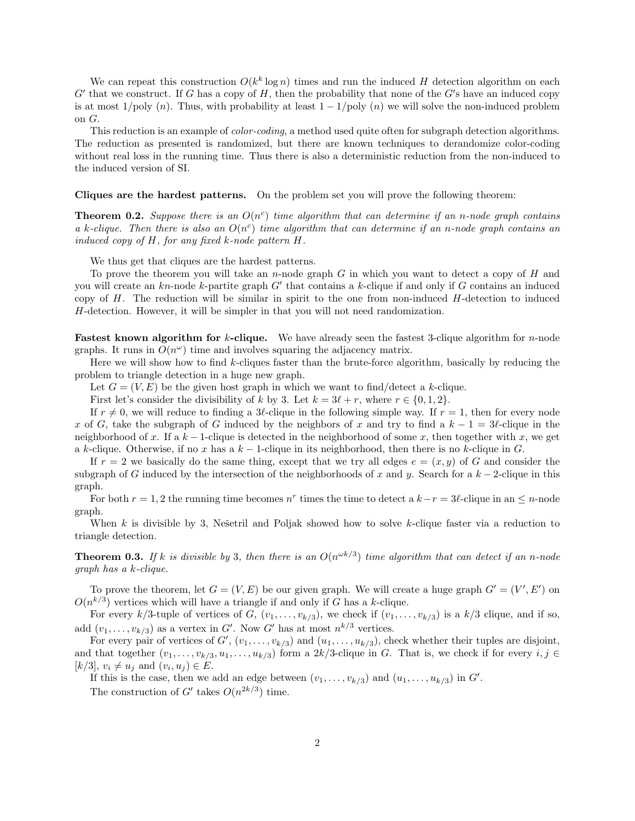We can repeat this construction  $O(k^k \log n)$  times and run the induced H detection algorithm on each  $G'$  that we construct. If G has a copy of H, then the probability that none of the  $G'$ s have an induced copy is at most  $1/poly(n)$ . Thus, with probability at least  $1-1/poly(n)$  we will solve the non-induced problem on G.

This reduction is an example of *color-coding*, a method used quite often for subgraph detection algorithms. The reduction as presented is randomized, but there are known techniques to derandomize color-coding without real loss in the running time. Thus there is also a deterministic reduction from the non-induced to the induced version of SI.

Cliques are the hardest patterns. On the problem set you will prove the following theorem:

**Theorem 0.2.** Suppose there is an  $O(n^c)$  time algorithm that can determine if an n-node graph contains a k-clique. Then there is also an  $O(n^c)$  time algorithm that can determine if an n-node graph contains an induced copy of H, for any fixed k-node pattern H.

We thus get that cliques are the hardest patterns.

To prove the theorem you will take an n-node graph G in which you want to detect a copy of H and you will create an  $kn$ -node k-partite graph  $G'$  that contains a k-clique if and only if G contains an induced copy of  $H$ . The reduction will be similar in spirit to the one from non-induced  $H$ -detection to induced H-detection. However, it will be simpler in that you will not need randomization.

**Fastest known algorithm for k-clique.** We have already seen the fastest 3-clique algorithm for n-node graphs. It runs in  $O(n^{\omega})$  time and involves squaring the adjacency matrix.

Here we will show how to find  $k$ -cliques faster than the brute-force algorithm, basically by reducing the problem to triangle detection in a huge new graph.

Let  $G = (V, E)$  be the given host graph in which we want to find/detect a k-clique.

First let's consider the divisibility of k by 3. Let  $k = 3\ell + r$ , where  $r \in \{0, 1, 2\}$ .

If  $r \neq 0$ , we will reduce to finding a 3 $\ell$ -clique in the following simple way. If  $r = 1$ , then for every node x of G, take the subgraph of G induced by the neighbors of x and try to find a  $k - 1 = 3\ell$ -clique in the neighborhood of x. If a  $k-1$ -clique is detected in the neighborhood of some x, then together with x, we get a k-clique. Otherwise, if no x has a  $k-1$ -clique in its neighborhood, then there is no k-clique in G.

If  $r = 2$  we basically do the same thing, except that we try all edges  $e = (x, y)$  of G and consider the subgraph of G induced by the intersection of the neighborhoods of x and y. Search for a  $k-2$ -clique in this graph.

For both  $r = 1, 2$  the running time becomes  $n^r$  times the time to detect a  $k - r = 3\ell$ -clique in an  $\leq n$ -node graph.

When k is divisible by 3, Nešetril and Poljak showed how to solve k-clique faster via a reduction to triangle detection.

**Theorem 0.3.** If k is divisible by 3, then there is an  $O(n^{\omega k/3})$  time algorithm that can detect if an n-node graph has a k-clique.

To prove the theorem, let  $G = (V, E)$  be our given graph. We will create a huge graph  $G' = (V', E')$  on  $O(n^{k/3})$  vertices which will have a triangle if and only if G has a k-clique.

For every k/3-tuple of vertices of G,  $(v_1, \ldots, v_{k/3})$ , we check if  $(v_1, \ldots, v_{k/3})$  is a k/3 clique, and if so, add  $(v_1, \ldots, v_{k/3})$  as a vertex in G'. Now G' has at most  $n^{k/3}$  vertices.

For every pair of vertices of  $G'$ ,  $(v_1, \ldots, v_{k/3})$  and  $(u_1, \ldots, u_{k/3})$ , check whether their tuples are disjoint, and that together  $(v_1, \ldots, v_{k/3}, u_1, \ldots, u_{k/3})$  form a 2k/3-clique in G. That is, we check if for every  $i, j \in$  $[k/3], v_i \neq u_j \text{ and } (v_i, u_j) \in E.$ 

If this is the case, then we add an edge between  $(v_1, \ldots, v_{k/3})$  and  $(u_1, \ldots, u_{k/3})$  in  $G'$ . The construction of G' takes  $O(n^{2k/3})$  time.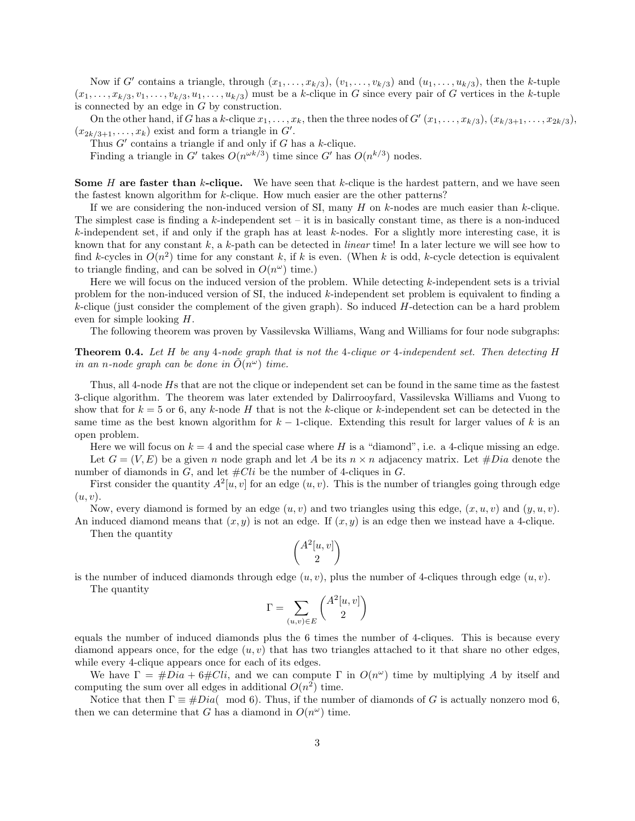Now if G' contains a triangle, through  $(x_1, \ldots, x_{k/3})$ ,  $(v_1, \ldots, v_{k/3})$  and  $(u_1, \ldots, u_{k/3})$ , then the k-tuple  $(x_1, \ldots, x_{k/3}, v_1, \ldots, v_{k/3}, u_1, \ldots, u_{k/3})$  must be a k-clique in G since every pair of G vertices in the k-tuple is connected by an edge in G by construction.

On the other hand, if G has a k-clique  $x_1, \ldots, x_k$ , then the three nodes of  $G'(x_1, \ldots, x_{k/3})$ ,  $(x_{k/3+1}, \ldots, x_{2k/3})$ ,  $(x_{2k/3+1},...,x_k)$  exist and form a triangle in  $G'$ .

Thus  $G'$  contains a triangle if and only if G has a k-clique.

Finding a triangle in G' takes  $O(n^{\omega k/3})$  time since G' has  $O(n^{k/3})$  nodes.

**Some** H are faster than k-clique. We have seen that k-clique is the hardest pattern, and we have seen the fastest known algorithm for  $k$ -clique. How much easier are the other patterns?

If we are considering the non-induced version of SI, many  $H$  on  $k$ -nodes are much easier than  $k$ -clique. The simplest case is finding a  $k$ -independent set – it is in basically constant time, as there is a non-induced k-independent set, if and only if the graph has at least k-nodes. For a slightly more interesting case, it is known that for any constant  $k$ , a  $k$ -path can be detected in *linear* time! In a later lecture we will see how to find k-cycles in  $O(n^2)$  time for any constant k, if k is even. (When k is odd, k-cycle detection is equivalent to triangle finding, and can be solved in  $O(n^{\omega})$  time.)

Here we will focus on the induced version of the problem. While detecting k-independent sets is a trivial problem for the non-induced version of  $SI$ , the induced k-independent set problem is equivalent to finding a  $k$ -clique (just consider the complement of the given graph). So induced  $H$ -detection can be a hard problem even for simple looking H.

The following theorem was proven by Vassilevska Williams, Wang and Williams for four node subgraphs:

Theorem 0.4. Let H be any 4-node graph that is not the 4-clique or 4-independent set. Then detecting H in an n-node graph can be done in  $\tilde{O}(n^{\omega})$  time.

Thus, all 4-node Hs that are not the clique or independent set can be found in the same time as the fastest 3-clique algorithm. The theorem was later extended by Dalirrooyfard, Vassilevska Williams and Vuong to show that for  $k = 5$  or 6, any k-node H that is not the k-clique or k-independent set can be detected in the same time as the best known algorithm for  $k-1$ -clique. Extending this result for larger values of k is an open problem.

Here we will focus on  $k = 4$  and the special case where H is a "diamond", i.e. a 4-clique missing an edge. Let  $G = (V, E)$  be a given n node graph and let A be its  $n \times n$  adjacency matrix. Let  $\# Dia$  denote the number of diamonds in  $G$ , and let  $#Cli$  be the number of 4-cliques in  $G$ .

First consider the quantity  $A^2[u, v]$  for an edge  $(u, v)$ . This is the number of triangles going through edge  $(u, v).$ 

Now, every diamond is formed by an edge  $(u, v)$  and two triangles using this edge,  $(x, u, v)$  and  $(y, u, v)$ . An induced diamond means that  $(x, y)$  is not an edge. If  $(x, y)$  is an edge then we instead have a 4-clique.

Then the quantity

$$
\binom{A^2[u,v]}{2}
$$

is the number of induced diamonds through edge  $(u, v)$ , plus the number of 4-cliques through edge  $(u, v)$ .

The quantity

$$
\Gamma = \sum_{(u,v)\in E} \binom{A^2[u,v]}{2}
$$

equals the number of induced diamonds plus the 6 times the number of 4-cliques. This is because every diamond appears once, for the edge  $(u, v)$  that has two triangles attached to it that share no other edges, while every 4-clique appears once for each of its edges.

We have  $\Gamma = \text{\#}Di\ a + 6\text{\#}Cli$ , and we can compute  $\Gamma$  in  $O(n^{\omega})$  time by multiplying A by itself and computing the sum over all edges in additional  $O(n^2)$  time.

Notice that then  $\Gamma \equiv \# Dia( \mod 6)$ . Thus, if the number of diamonds of G is actually nonzero mod 6, then we can determine that G has a diamond in  $O(n^{\omega})$  time.